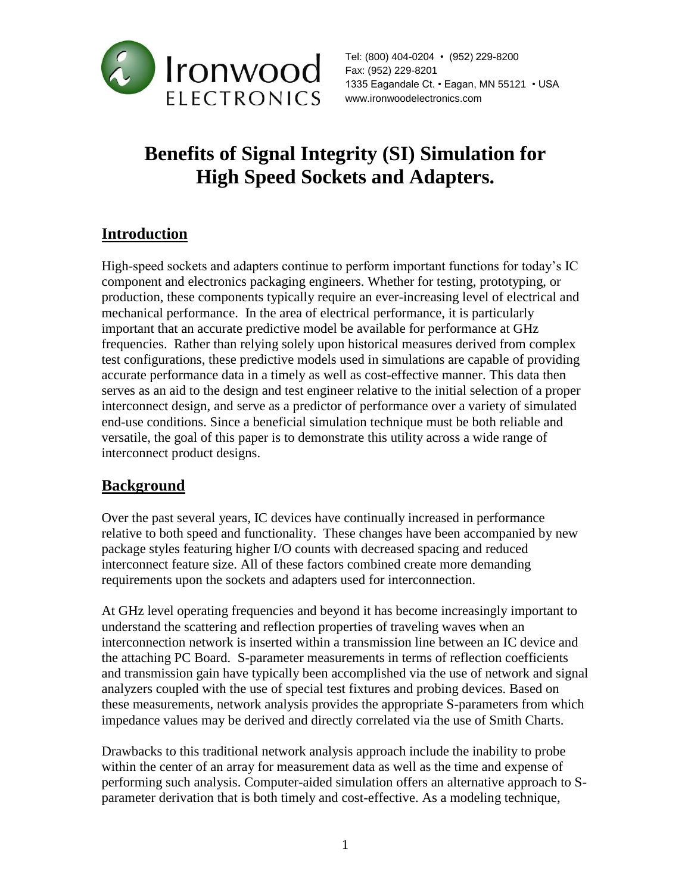

Tel: (800) 404-0204 • (952) 229-8200 Fax: (952) 229-8201 1335 Eagandale Ct. • Eagan, MN 55121 • USA www.ironwoodelectronics.com

# **Benefits of Signal Integrity (SI) Simulation for High Speed Sockets and Adapters.**

### **Introduction**

High-speed sockets and adapters continue to perform important functions for today's IC component and electronics packaging engineers. Whether for testing, prototyping, or production, these components typically require an ever-increasing level of electrical and mechanical performance. In the area of electrical performance, it is particularly important that an accurate predictive model be available for performance at GHz frequencies. Rather than relying solely upon historical measures derived from complex test configurations, these predictive models used in simulations are capable of providing accurate performance data in a timely as well as cost-effective manner. This data then serves as an aid to the design and test engineer relative to the initial selection of a proper interconnect design, and serve as a predictor of performance over a variety of simulated end-use conditions. Since a beneficial simulation technique must be both reliable and versatile, the goal of this paper is to demonstrate this utility across a wide range of interconnect product designs.

#### **Background**

Over the past several years, IC devices have continually increased in performance relative to both speed and functionality. These changes have been accompanied by new package styles featuring higher I/O counts with decreased spacing and reduced interconnect feature size. All of these factors combined create more demanding requirements upon the sockets and adapters used for interconnection.

At GHz level operating frequencies and beyond it has become increasingly important to understand the scattering and reflection properties of traveling waves when an interconnection network is inserted within a transmission line between an IC device and the attaching PC Board. S-parameter measurements in terms of reflection coefficients and transmission gain have typically been accomplished via the use of network and signal analyzers coupled with the use of special test fixtures and probing devices. Based on these measurements, network analysis provides the appropriate S-parameters from which impedance values may be derived and directly correlated via the use of Smith Charts.

Drawbacks to this traditional network analysis approach include the inability to probe within the center of an array for measurement data as well as the time and expense of performing such analysis. Computer-aided simulation offers an alternative approach to Sparameter derivation that is both timely and cost-effective. As a modeling technique,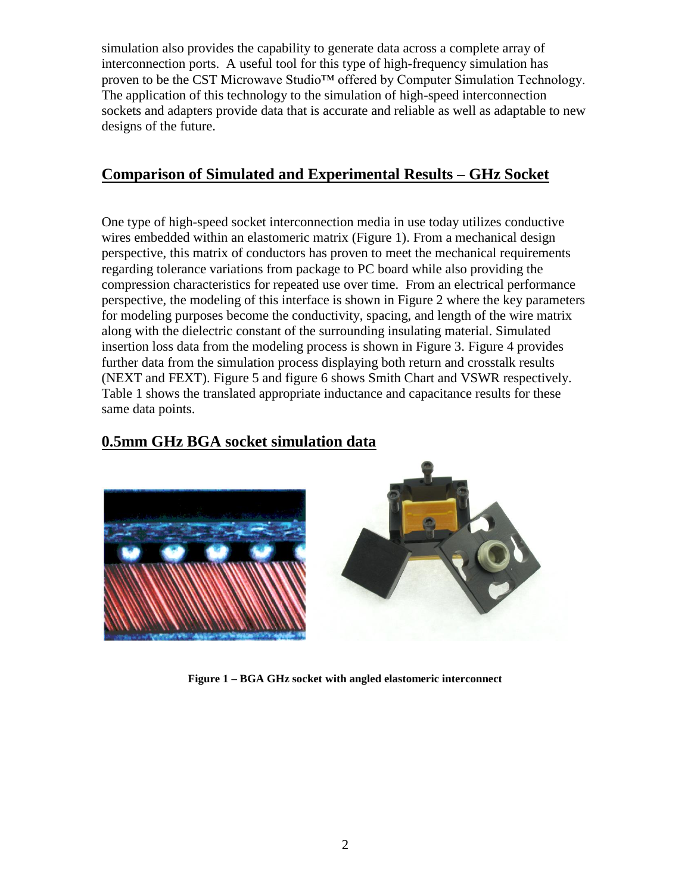simulation also provides the capability to generate data across a complete array of interconnection ports. A useful tool for this type of high-frequency simulation has proven to be the CST Microwave Studio™ offered by Computer Simulation Technology. The application of this technology to the simulation of high-speed interconnection sockets and adapters provide data that is accurate and reliable as well as adaptable to new designs of the future.

#### **Comparison of Simulated and Experimental Results – GHz Socket**

One type of high-speed socket interconnection media in use today utilizes conductive wires embedded within an elastomeric matrix (Figure 1). From a mechanical design perspective, this matrix of conductors has proven to meet the mechanical requirements regarding tolerance variations from package to PC board while also providing the compression characteristics for repeated use over time. From an electrical performance perspective, the modeling of this interface is shown in Figure 2 where the key parameters for modeling purposes become the conductivity, spacing, and length of the wire matrix along with the dielectric constant of the surrounding insulating material. Simulated insertion loss data from the modeling process is shown in Figure 3. Figure 4 provides further data from the simulation process displaying both return and crosstalk results (NEXT and FEXT). Figure 5 and figure 6 shows Smith Chart and VSWR respectively. Table 1 shows the translated appropriate inductance and capacitance results for these same data points.

#### **0.5mm GHz BGA socket simulation data**



**Figure 1 – BGA GHz socket with angled elastomeric interconnect**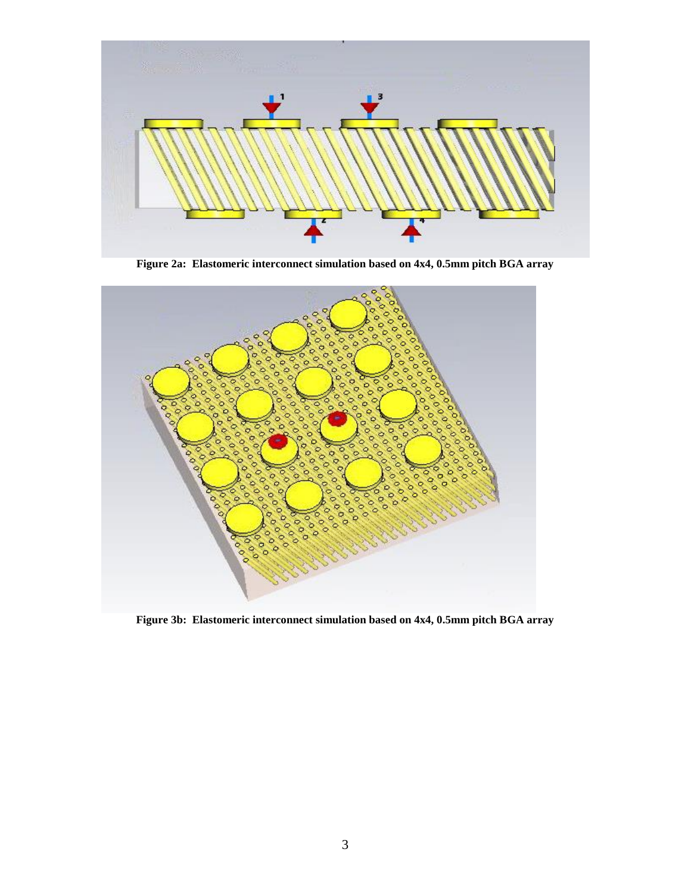

**Figure 2a: Elastomeric interconnect simulation based on 4x4, 0.5mm pitch BGA array**



**Figure 3b: Elastomeric interconnect simulation based on 4x4, 0.5mm pitch BGA array**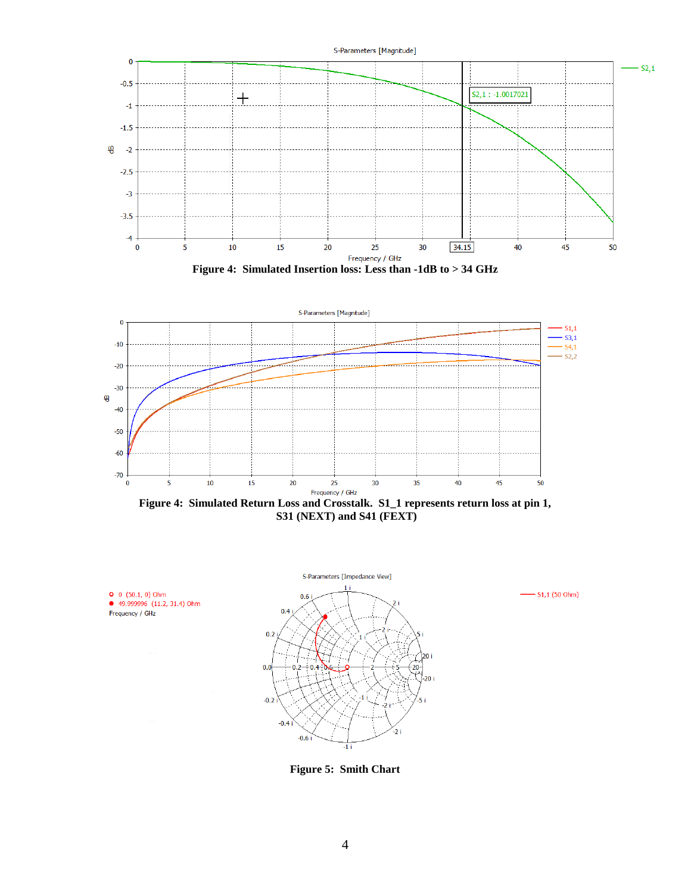









**○** 0 (50.1, 0) Ohm<br>● 49.999996 (11.2, 31.4) Ohm

Frequency / GHz

 $-$  S1,1 (50 Ohm)

**Figure 5: Smith Chart**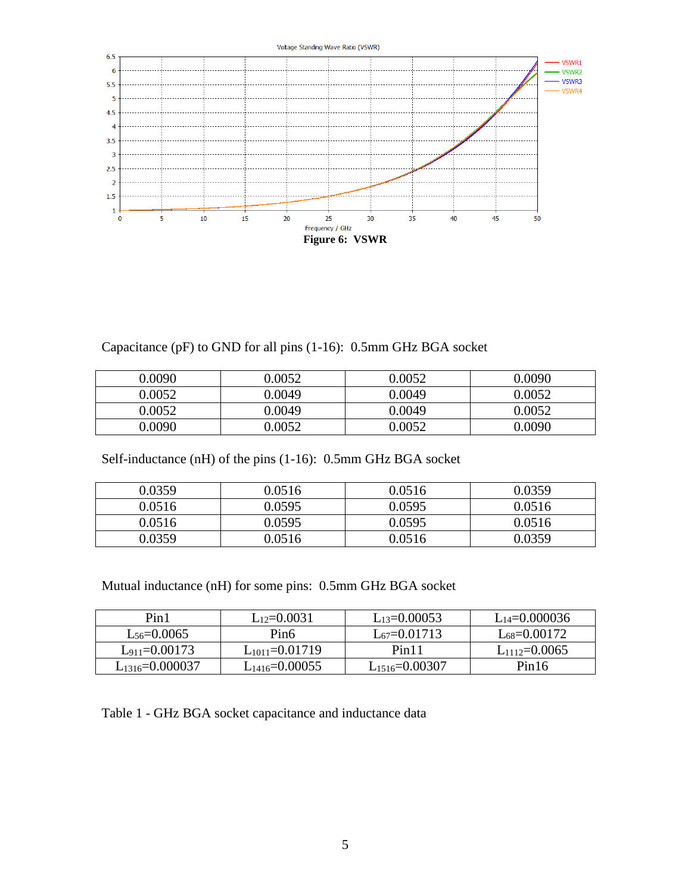

Capacitance (pF) to GND for all pins (1-16): 0.5mm GHz BGA socket

| 0.0090 | 9.0052 | 0.0052 | 0.0090 |
|--------|--------|--------|--------|
| 0.0052 | 0.0049 | 0.0049 | 0.0052 |
| 0.0052 | 0.0049 | 0.0049 | 0.0052 |
| 0.0090 | 0.0052 | 0.0052 | 0.0090 |

Self-inductance (nH) of the pins (1-16): 0.5mm GHz BGA socket

| 0.0359 | 0.0516 | 0.0516 | 0.0359 |
|--------|--------|--------|--------|
| 0.0516 | 0.0595 | 0.0595 | 0.0516 |
| 0.0516 | 0.0595 | 0.0595 | 0.0516 |
| 0.0359 | 0.0516 | 0.0516 | 0.0359 |

Mutual inductance (nH) for some pins: 0.5mm GHz BGA socket

| Pin1                  | $L_{12}=0.0031$<br>$L_{13}=0.00053$ |                      | $L_{14}=0.000036$  |
|-----------------------|-------------------------------------|----------------------|--------------------|
| $L_{56} = 0.0065$     | Pin <sub>6</sub>                    | $L_{67} = 0.01713$   | $L_{68} = 0.00172$ |
| $L_{911} = 0.00173$   | $L_{1011}=0.01719$                  | Pin <sub>11</sub>    | $L_{1112}=0.0065$  |
| $L_{1316} = 0.000037$ | $L_{1416} = 0.00055$                | $L_{1516} = 0.00307$ | Pin16              |

Table 1 - GHz BGA socket capacitance and inductance data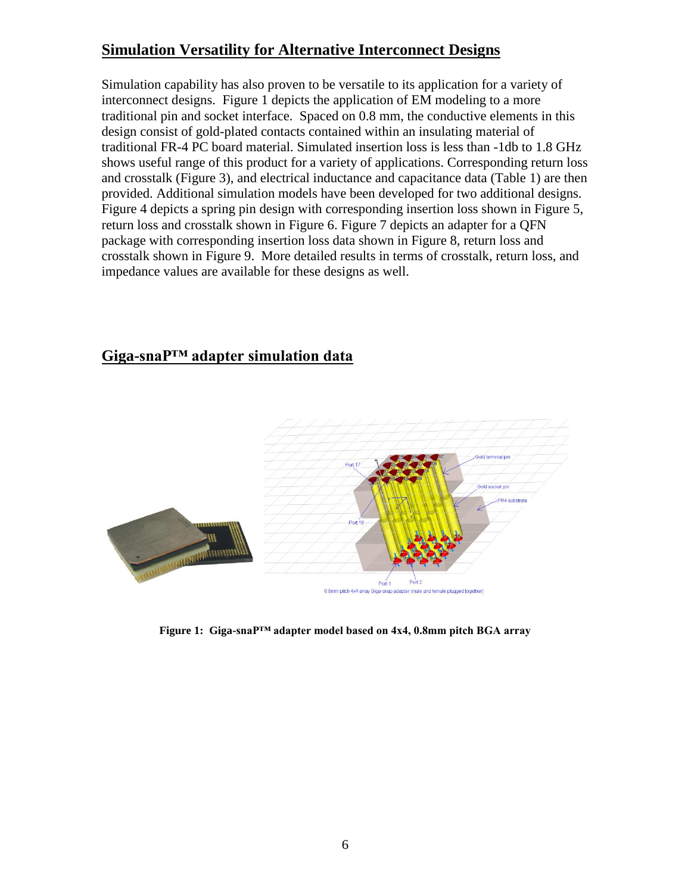#### **Simulation Versatility for Alternative Interconnect Designs**

Simulation capability has also proven to be versatile to its application for a variety of interconnect designs. Figure 1 depicts the application of EM modeling to a more traditional pin and socket interface. Spaced on 0.8 mm, the conductive elements in this design consist of gold-plated contacts contained within an insulating material of traditional FR-4 PC board material. Simulated insertion loss is less than -1db to 1.8 GHz shows useful range of this product for a variety of applications. Corresponding return loss and crosstalk (Figure 3), and electrical inductance and capacitance data (Table 1) are then provided. Additional simulation models have been developed for two additional designs. Figure 4 depicts a spring pin design with corresponding insertion loss shown in Figure 5, return loss and crosstalk shown in Figure 6. Figure 7 depicts an adapter for a QFN package with corresponding insertion loss data shown in Figure 8, return loss and crosstalk shown in Figure 9. More detailed results in terms of crosstalk, return loss, and impedance values are available for these designs as well.

### **Giga-snaP™ adapter simulation data**



**Figure 1: Giga-snaP™ adapter model based on 4x4, 0.8mm pitch BGA array**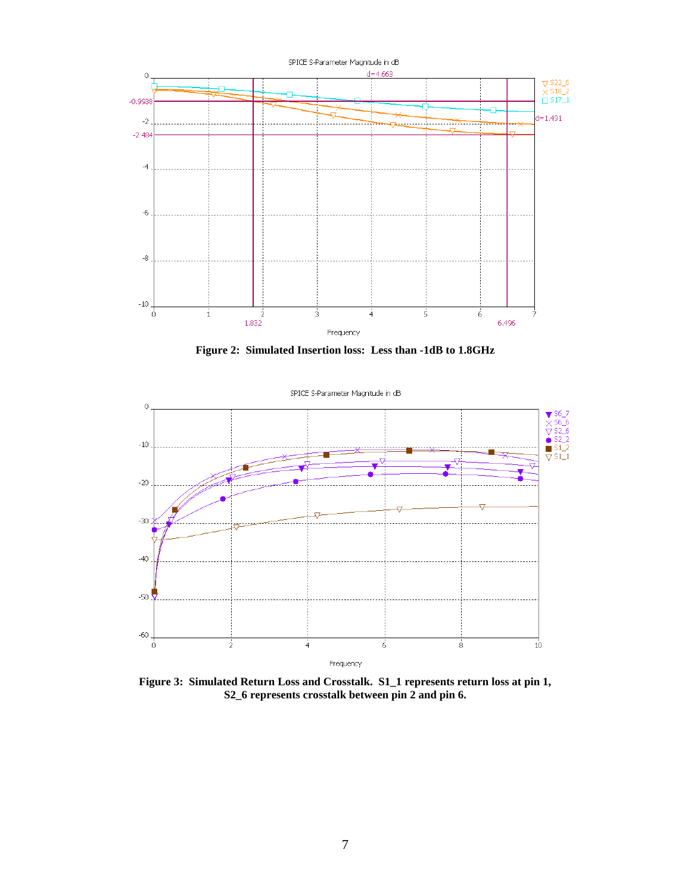

**Figure 2: Simulated Insertion loss: Less than -1dB to 1.8GHz** 



**Figure 3: Simulated Return Loss and Crosstalk. S1\_1 represents return loss at pin 1, S2\_6 represents crosstalk between pin 2 and pin 6.**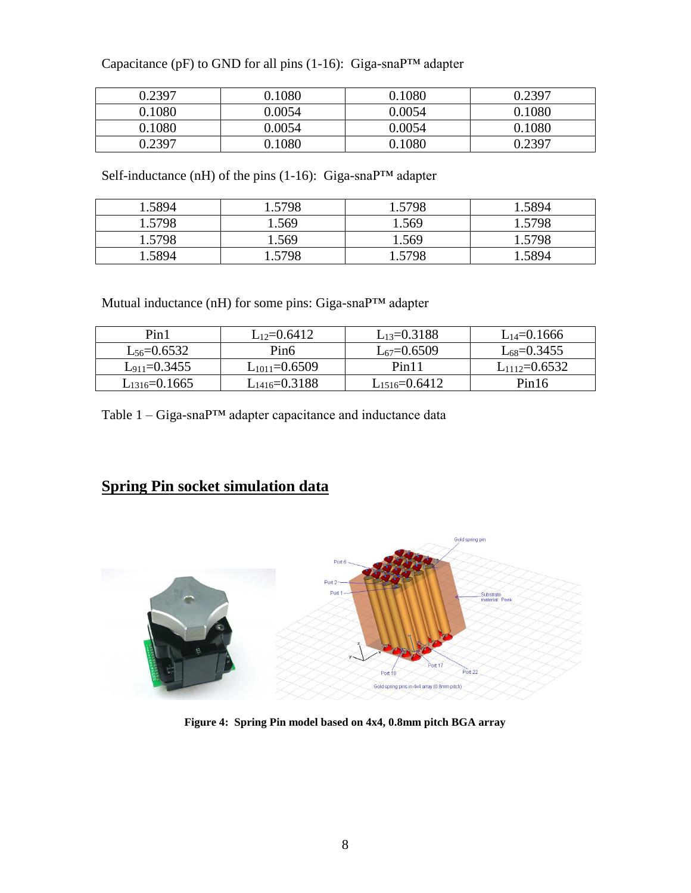| Capacitance (pF) to GND for all pins $(1-16)$ : Giga-snaP <sup>TM</sup> adapter |  |  |  |  |  |
|---------------------------------------------------------------------------------|--|--|--|--|--|
|---------------------------------------------------------------------------------|--|--|--|--|--|

| 0.2397 | 0.1080 | 0.1080 | በ 2397 |
|--------|--------|--------|--------|
| 0.1080 | 0.0054 | 0.0054 | 0.1080 |
| 0.1080 | 0.0054 | 0.0054 | 0.1080 |
| 0.2397 | 0.1080 | 0.1080 |        |

Self-inductance (nH) of the pins (1-16): Giga-snaP™ adapter

| 1.5894 | 1.5798 | 1.5798 | 1.5894 |
|--------|--------|--------|--------|
| 1.5798 | 1.569  | 1.569  | 1.5798 |
| 1.5798 | 1.569  | 1.569  | 1.5798 |
| .5894  | .5798  | 5798   | 1.5894 |

Mutual inductance (nH) for some pins: Giga-snaP™ adapter

| Pin1                | $L_{12}=0.6412$     | $L_{13}=0.3188$     | $L_{14}=0.1666$   |
|---------------------|---------------------|---------------------|-------------------|
| $L_{56} = 0.6532$   | Pin <sub>6</sub>    | $L_{67} = 0.6509$   | $L_{68} = 0.3455$ |
| $L_{911} = 0.3455$  | $L_{1011}=0.6509$   | Pin <sub>11</sub>   | $L_{1112}=0.6532$ |
| $L_{1316} = 0.1665$ | $L_{1416} = 0.3188$ | $L_{1516} = 0.6412$ | Pin16             |

Table 1 – Giga-snaP™ adapter capacitance and inductance data

# **Spring Pin socket simulation data**



**Figure 4: Spring Pin model based on 4x4, 0.8mm pitch BGA array**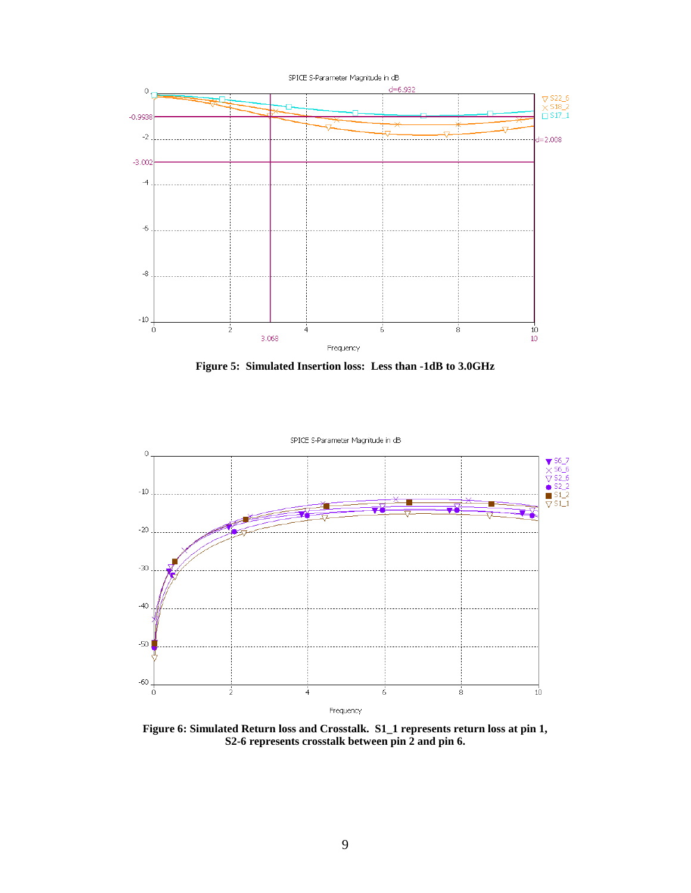

**Figure 5: Simulated Insertion loss: Less than -1dB to 3.0GHz** 



**Figure 6: Simulated Return loss and Crosstalk. S1\_1 represents return loss at pin 1, S2-6 represents crosstalk between pin 2 and pin 6.**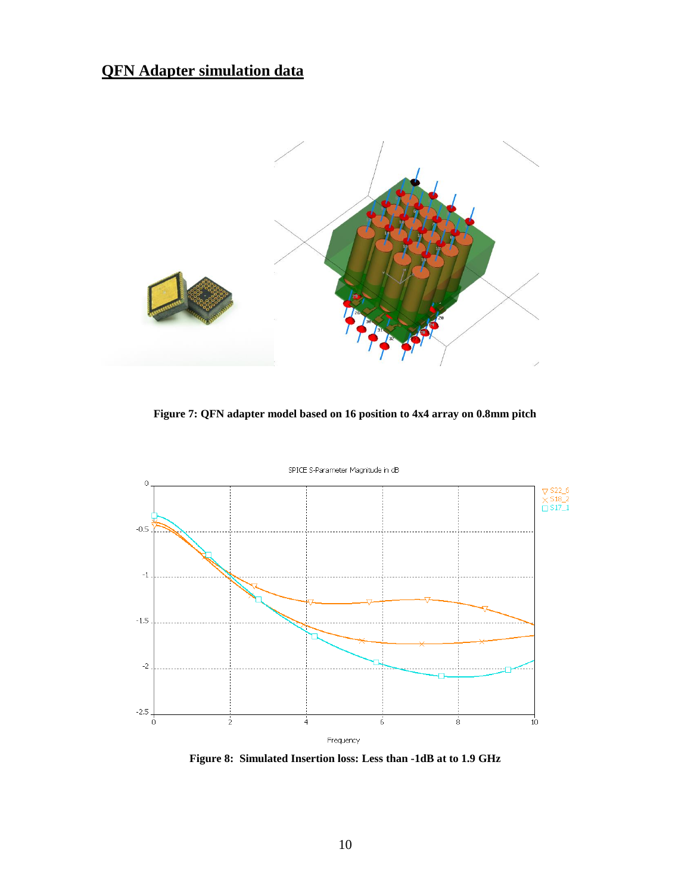# **QFN Adapter simulation data**



**Figure 7: QFN adapter model based on 16 position to 4x4 array on 0.8mm pitch**



**Figure 8: Simulated Insertion loss: Less than -1dB at to 1.9 GHz**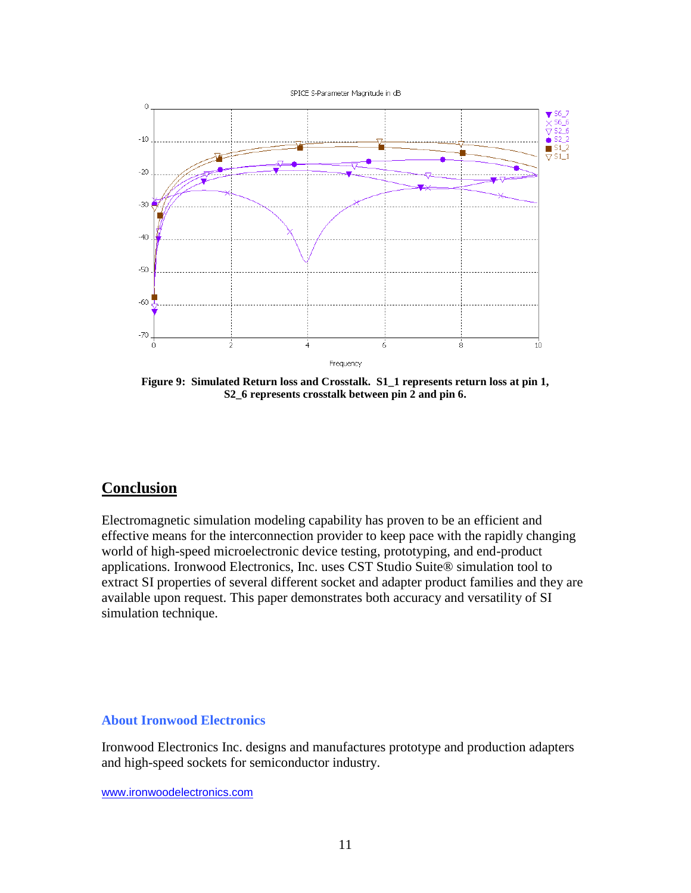

**Figure 9: Simulated Return loss and Crosstalk. S1\_1 represents return loss at pin 1, S2\_6 represents crosstalk between pin 2 and pin 6.**

#### **Conclusion**

Electromagnetic simulation modeling capability has proven to be an efficient and effective means for the interconnection provider to keep pace with the rapidly changing world of high-speed microelectronic device testing, prototyping, and end-product applications. Ironwood Electronics, Inc. uses CST Studio Suite® simulation tool to extract SI properties of several different socket and adapter product families and they are available upon request. This paper demonstrates both accuracy and versatility of SI simulation technique.

#### **About Ironwood Electronics**

Ironwood Electronics Inc. designs and manufactures prototype and production adapters and high-speed sockets for semiconductor industry.

[www.ironwoodelectronics.com](http://www.ironwoodelectronics.com/)